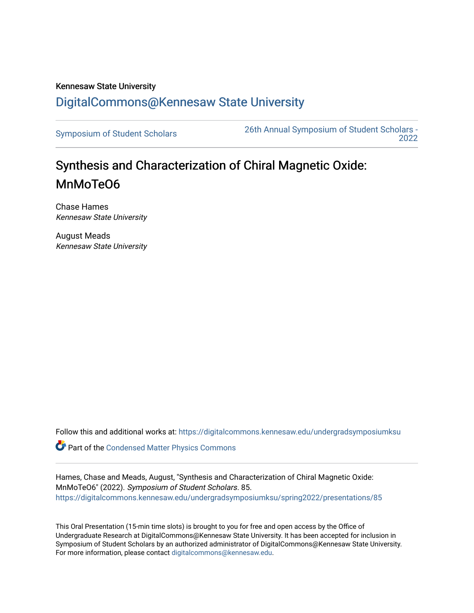## Kennesaw State University [DigitalCommons@Kennesaw State University](https://digitalcommons.kennesaw.edu/)

[Symposium of Student Scholars](https://digitalcommons.kennesaw.edu/undergradsymposiumksu) [26th Annual Symposium of Student Scholars -](https://digitalcommons.kennesaw.edu/undergradsymposiumksu/spring2022)  [2022](https://digitalcommons.kennesaw.edu/undergradsymposiumksu/spring2022) 

# Synthesis and Characterization of Chiral Magnetic Oxide: MnMoTeO6

Chase Hames Kennesaw State University

August Meads Kennesaw State University

Follow this and additional works at: [https://digitalcommons.kennesaw.edu/undergradsymposiumksu](https://digitalcommons.kennesaw.edu/undergradsymposiumksu?utm_source=digitalcommons.kennesaw.edu%2Fundergradsymposiumksu%2Fspring2022%2Fpresentations%2F85&utm_medium=PDF&utm_campaign=PDFCoverPages) 

**C** Part of the Condensed Matter Physics Commons

Hames, Chase and Meads, August, "Synthesis and Characterization of Chiral Magnetic Oxide: MnMoTeO6" (2022). Symposium of Student Scholars. 85. [https://digitalcommons.kennesaw.edu/undergradsymposiumksu/spring2022/presentations/85](https://digitalcommons.kennesaw.edu/undergradsymposiumksu/spring2022/presentations/85?utm_source=digitalcommons.kennesaw.edu%2Fundergradsymposiumksu%2Fspring2022%2Fpresentations%2F85&utm_medium=PDF&utm_campaign=PDFCoverPages) 

This Oral Presentation (15-min time slots) is brought to you for free and open access by the Office of Undergraduate Research at DigitalCommons@Kennesaw State University. It has been accepted for inclusion in Symposium of Student Scholars by an authorized administrator of DigitalCommons@Kennesaw State University. For more information, please contact [digitalcommons@kennesaw.edu.](mailto:digitalcommons@kennesaw.edu)